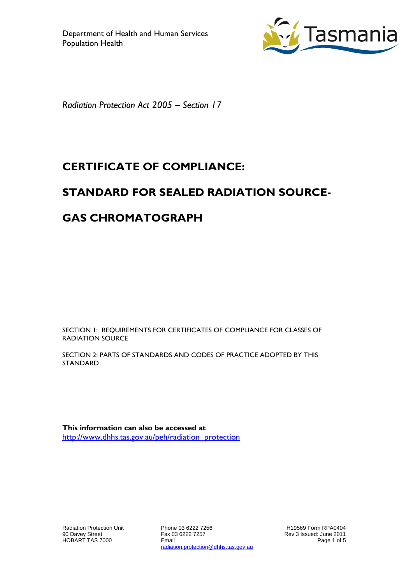

*Radiation Protection Act 2005 – Section 17*

# **CERTIFICATE OF COMPLIANCE:**

## **STANDARD FOR SEALED RADIATION SOURCE-**

## **GAS CHROMATOGRAPH**

SECTION 1: REQUIREMENTS FOR CERTIFICATES OF COMPLIANCE FOR CLASSES OF RADIATION SOURCE

SECTION 2: PARTS OF STANDARDS AND CODES OF PRACTICE ADOPTED BY THIS STANDARD

**This information can also be accessed at** [http://www.dhhs.tas.gov.au/peh/radiation\\_protection](http://www.dhhs.tas.gov.au/peh/radiation_protection)

Radiation Protection Unit 90 Davey Street HOBART TAS 7000

Phone 03 6222 7256 Fax 03 6222 7257 Email radiation.protection@dhhs.tas.gov.au

H19569 Form RPA0404 Rev 3 Issued: June 2011 Page 1 of 5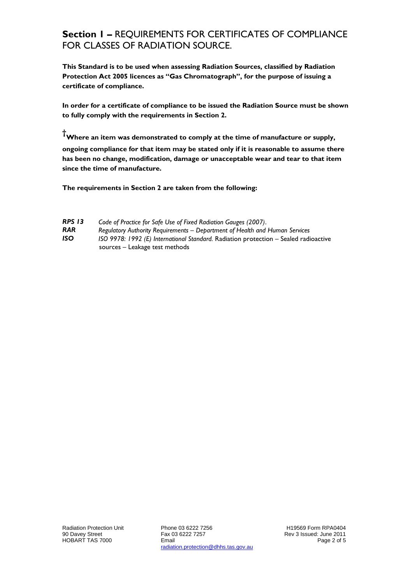#### **Section 1 –** REQUIREMENTS FOR CERTIFICATES OF COMPLIANCE FOR CLASSES OF RADIATION SOURCE.

**This Standard is to be used when assessing Radiation Sources, classified by Radiation Protection Act 2005 licences as "Gas Chromatograph", for the purpose of issuing a certificate of compliance.**

**In order for a certificate of compliance to be issued the Radiation Source must be shown to fully comply with the requirements in Section 2.**

**†Where an item was demonstrated to comply at the time of manufacture or supply,** 

**ongoing compliance for that item may be stated only if it is reasonable to assume there has been no change, modification, damage or unacceptable wear and tear to that item since the time of manufacture.** 

**The requirements in Section 2 are taken from the following:**

| <b>RPS 13</b> | Code of Practice for Safe Use of Fixed Radiation Gauges (2007).                      |  |  |
|---------------|--------------------------------------------------------------------------------------|--|--|
| <b>RAR</b>    | Regulatory Authority Requirements – Department of Health and Human Services          |  |  |
| <b>ISO</b>    | ISO 9978: 1992 (E) International Standard. Radiation protection - Sealed radioactive |  |  |
|               | sources – Leakage test methods                                                       |  |  |

Phone 03 6222 7256 Fax 03 6222 7257 Email radiation.protection@dhhs.tas.gov.au

H19569 Form RPA0404 Rev 3 Issued: June 2011 Page 2 of 5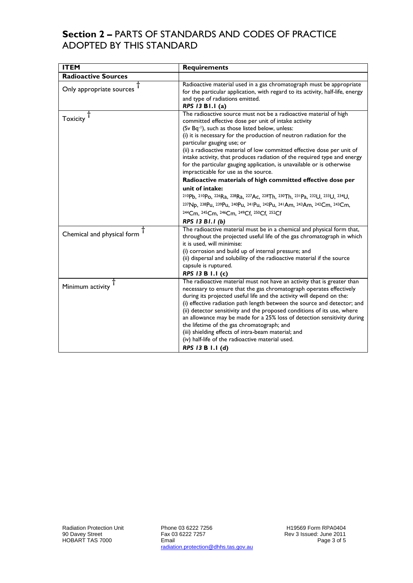### **Section 2 –** PARTS OF STANDARDS AND CODES OF PRACTICE ADOPTED BY THIS STANDARD

| <b>ITEM</b>                | <b>Requirements</b>                                                                                                                                                                                                                                                                                                                                                                                                                                                                                                                                                                                                |  |  |
|----------------------------|--------------------------------------------------------------------------------------------------------------------------------------------------------------------------------------------------------------------------------------------------------------------------------------------------------------------------------------------------------------------------------------------------------------------------------------------------------------------------------------------------------------------------------------------------------------------------------------------------------------------|--|--|
| <b>Radioactive Sources</b> |                                                                                                                                                                                                                                                                                                                                                                                                                                                                                                                                                                                                                    |  |  |
| Only appropriate sources   | Radioactive material used in a gas chromatograph must be appropriate<br>for the particular application, with regard to its activity, half-life, energy<br>and type of radiations emitted.<br>RPS 13 B1.1 (a)                                                                                                                                                                                                                                                                                                                                                                                                       |  |  |
| Toxicity <sup>T</sup>      | The radioactive source must not be a radioactive material of high<br>committed effective dose per unit of intake activity<br>(Sv Bq-1), such as those listed below, unless:<br>(i) it is necessary for the production of neutron radiation for the<br>particular gauging use; or<br>(ii) a radioactive material of low committed effective dose per unit of<br>intake activity, that produces radiation of the required type and energy<br>for the particular gauging application, is unavailable or is otherwise<br>impracticable for use as the source.                                                          |  |  |
|                            | Radioactive materials of high committed effective dose per                                                                                                                                                                                                                                                                                                                                                                                                                                                                                                                                                         |  |  |
|                            | unit of intake:                                                                                                                                                                                                                                                                                                                                                                                                                                                                                                                                                                                                    |  |  |
|                            | 210Pb, 210Po, 226Ra, 228Ra, 227Ac, 228Th, 230Th, 231Pa, 232U, 233U, 234U,                                                                                                                                                                                                                                                                                                                                                                                                                                                                                                                                          |  |  |
|                            | 237Np, 238Pu, 239Pu, 240Pu, 241Pu, 242Pu, 241Am, 243Am, 242Cm, 243Cm,                                                                                                                                                                                                                                                                                                                                                                                                                                                                                                                                              |  |  |
|                            | 244Cm, 245Cm, 246Cm, 249Cf, 250Cf, 252Cf                                                                                                                                                                                                                                                                                                                                                                                                                                                                                                                                                                           |  |  |
|                            | RPS 13 B1.1 (b)                                                                                                                                                                                                                                                                                                                                                                                                                                                                                                                                                                                                    |  |  |
| Chemical and physical form | The radioactive material must be in a chemical and physical form that,<br>throughout the projected useful life of the gas chromatograph in which<br>it is used, will minimise:<br>(i) corrosion and build up of internal pressure; and<br>(ii) dispersal and solubility of the radioactive material if the source<br>capsule is ruptured.                                                                                                                                                                                                                                                                          |  |  |
|                            | RPS 13 B 1.1 (c)                                                                                                                                                                                                                                                                                                                                                                                                                                                                                                                                                                                                   |  |  |
| Minimum activity $T$       | The radioactive material must not have an activity that is greater than<br>necessary to ensure that the gas chromatograph operates effectively<br>during its projected useful life and the activity will depend on the:<br>(i) effective radiation path length between the source and detector; and<br>(ii) detector sensitivity and the proposed conditions of its use, where<br>an allowance may be made for a 25% loss of detection sensitivity during<br>the lifetime of the gas chromatograph; and<br>(iii) shielding effects of intra-beam material; and<br>(iv) half-life of the radioactive material used. |  |  |
|                            | RPS 13 B 1.1 (d)                                                                                                                                                                                                                                                                                                                                                                                                                                                                                                                                                                                                   |  |  |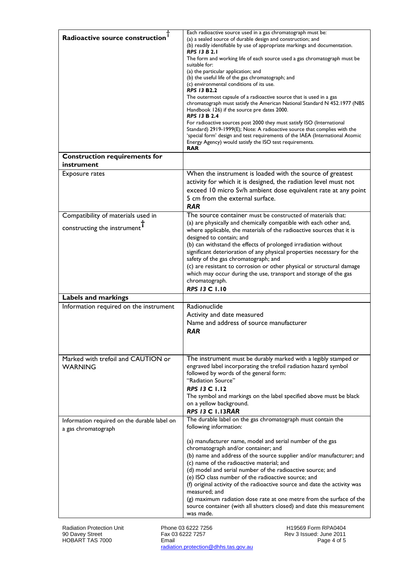| Radioactive source construction                                                | Each radioactive source used in a gas chromatograph must be:<br>(a) a sealed source of durable design and construction; and<br>(b) readily identifiable by use of appropriate markings and documentation.<br><b>RPS 13 B 2.1</b><br>The form and working life of each source used a gas chromatograph must be<br>suitable for:<br>(a) the particular application; and<br>(b) the useful life of the gas chromatograph; and<br>(c) environmental conditions of its use.<br><b>RPS 13 B2.2</b><br>The outermost capsule of a radioactive source that is used in a gas<br>chromatograph must satisfy the American National Standard N 452.1977 (NBS<br>Handbook 126) if the source pre dates 2000.<br><b>RPS 13 B 2.4</b><br>For radioactive sources post 2000 they must satisfy ISO (International<br>Standard) 2919-1999(E); Note: A radioactive source that complies with the<br>'special form' design and test requirements of the IAEA (International Atomic<br>Energy Agency) would satisfy the ISO test requirements.<br><b>RAR</b> |
|--------------------------------------------------------------------------------|-----------------------------------------------------------------------------------------------------------------------------------------------------------------------------------------------------------------------------------------------------------------------------------------------------------------------------------------------------------------------------------------------------------------------------------------------------------------------------------------------------------------------------------------------------------------------------------------------------------------------------------------------------------------------------------------------------------------------------------------------------------------------------------------------------------------------------------------------------------------------------------------------------------------------------------------------------------------------------------------------------------------------------------------|
| <b>Construction requirements for</b><br>instrument                             |                                                                                                                                                                                                                                                                                                                                                                                                                                                                                                                                                                                                                                                                                                                                                                                                                                                                                                                                                                                                                                         |
| Exposure rates                                                                 | When the instrument is loaded with the source of greatest<br>activity for which it is designed, the radiation level must not<br>exceed 10 micro Sv/h ambient dose equivalent rate at any point<br>5 cm from the external surface.<br><b>RAR</b>                                                                                                                                                                                                                                                                                                                                                                                                                                                                                                                                                                                                                                                                                                                                                                                         |
| Compatibility of materials used in<br>constructing the instrument <sup>1</sup> | The source container must be constructed of materials that:<br>(a) are physically and chemically compatible with each other and,<br>where applicable, the materials of the radioactive sources that it is<br>designed to contain; and<br>(b) can withstand the effects of prolonged irradiation without<br>significant deterioration of any physical properties necessary for the<br>safety of the gas chromatograph; and<br>(c) are resistant to corrosion or other physical or structural damage<br>which may occur during the use, transport and storage of the gas<br>chromatograph.<br><b>RPS 13 C 1.10</b>                                                                                                                                                                                                                                                                                                                                                                                                                        |
| Labels and markings                                                            |                                                                                                                                                                                                                                                                                                                                                                                                                                                                                                                                                                                                                                                                                                                                                                                                                                                                                                                                                                                                                                         |
| Information required on the instrument                                         | Radionuclide<br>Activity and date measured<br>Name and address of source manufacturer<br><b>RAR</b>                                                                                                                                                                                                                                                                                                                                                                                                                                                                                                                                                                                                                                                                                                                                                                                                                                                                                                                                     |
| Marked with trefoil and CAUTION or<br><b>WARNING</b>                           | The instrument must be durably marked with a legibly stamped or<br>engraved label incorporating the trefoil radiation hazard symbol<br>followed by words of the general form:<br>"Radiation Source"<br><b>RPS 13 C 1.12</b><br>The symbol and markings on the label specified above must be black<br>on a yellow background.<br><b>RPS 13 C 1.13RAR</b>                                                                                                                                                                                                                                                                                                                                                                                                                                                                                                                                                                                                                                                                                 |
| Information required on the durable label on<br>a gas chromatograph            | The durable label on the gas chromatograph must contain the<br>following information:<br>(a) manufacturer name, model and serial number of the gas<br>chromatograph and/or container; and<br>(b) name and address of the source supplier and/or manufacturer; and<br>(c) name of the radioactive material; and<br>(d) model and serial number of the radioactive source; and<br>(e) ISO class number of the radioactive source; and<br>(f) original activity of the radioactive source and date the activity was<br>measured; and<br>$(g)$ maximum radiation dose rate at one metre from the surface of the<br>source container (with all shutters closed) and date this measurement<br>was made.                                                                                                                                                                                                                                                                                                                                       |

Phone 03 6222 7256 Fax 03 6222 7257 Email radiation.protection@dhhs.tas.gov.au